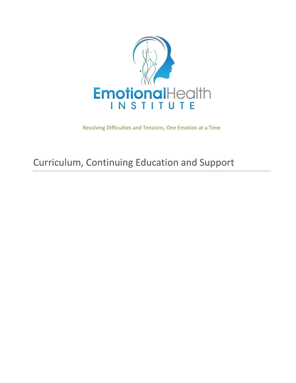

Resolving Difficulties and Tensions, One Emotion at a Time

# Curriculum, Continuing Education and Support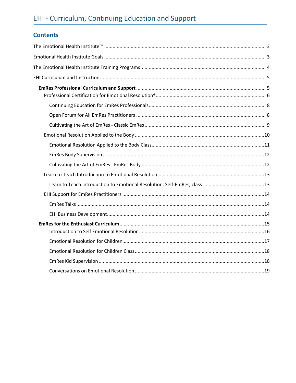## **Contents**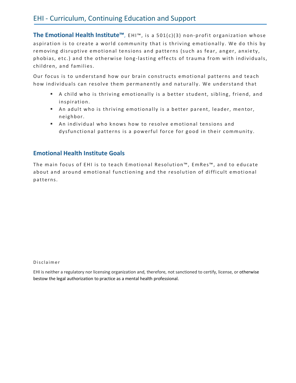The **Emotional Health Institute<sup>™</sup>, EHI<sup>™</sup>, is a 501(c)(3) non-profit organization whose** aspiration is to create a world community that is thriving emotionally. We do this by removing disruptive emotional tensions and patterns (such as fear, anger, anxiety, phobias, etc.) and the otherwise long-lasting effects of trauma from with individuals, children, and families.

Our focus is to understand how our brain constructs emotional patterns and teach how individuals can resolve them permanently and naturally. We understand that

- A child who is thriving emotionally is a better student, sibling, friend, and inspiration.
- An adult who is thriving emotionally is a better parent, leader, mentor, neighbor.
- An individual who knows how to resolve emotional tensions and dysfunctional patterns is a powerful force for good in their community.

#### **Emotional Health Institute Goals**

The main focus of EHI is to teach Emotional Resolution™, EmRes™, and to educate about and around emotional functioning and the resolution of difficult emotional patterns.

Disclaimer

EHI is neither a regulatory nor licensing organization and, therefore, not sanctioned to certify, license, or otherwise bestow the legal authorization to practice as a mental health professional.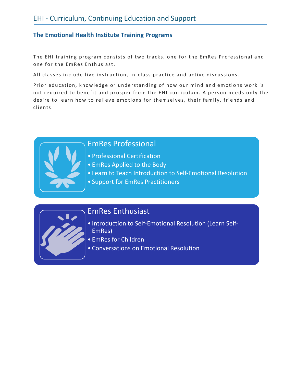#### **The Emotional Health Institute Training Programs**

The EHI training program consists of two tracks, one for the EmRes Professional and one for the EmRes Enthusiast.

All classes include live instruction, in-class practice and active discussions.

Prior education, knowledge or understanding of how our mind and emotions work is not required to benefit and prosper from the EHI curriculum. A person needs only the desire to learn how to relieve emotions for themselves, their family, friends and clients.



### EmRes Professional

- Professional Certification
- EmRes Applied to the Body
- Learn to Teach Introduction to Self-Emotional Resolution
- Support for EmRes Practitioners



### EmRes Enthusiast

- Introduction to Self-Emotional Resolution (Learn Self-EmRes)
- EmRes for Children
- Conversations on Emotional Resolution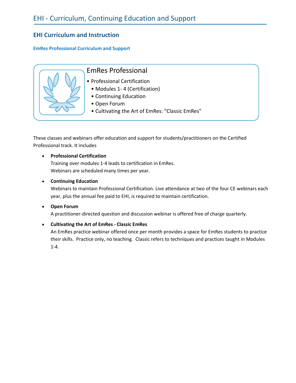### **EHI Curriculum and Instruction**

#### **EmRes Professional Curriculum and Support**



- Professional Certification
	- Modules 1- 4 (Certification)
	- Continuing Education
	- Open Forum
	- Cultivating the Art of EmRes: "Classic EmRes"

These classes and webinars offer education and support for students/practitioners on the Certified Professional track. It includes

#### • **Professional Certification**

Training over modules 1-4 leads to certification in EmRes. Webinars are scheduled many times per year.

#### • **Continuing Education**

Webinars to maintain Professional Certification. Live attendance at two of the four CE webinars each year, plus the annual fee paid to EHI, is required to maintain certification.

#### • **Open Forum**

A practitioner-directed question and discussion webinar is offered free of charge quarterly.

#### • **Cultivating the Art of EmRes - Classic EmRes**

An EmRes practice webinar offered once per month provides a space for EmRes students to practice their skills. Practice only, no teaching. Classic refers to techniques and practices taught in Modules 1-4.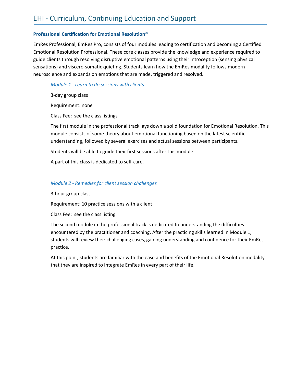#### **Professional Certification for Emotional Resolution®**

EmRes Professional, EmRes Pro, consists of four modules leading to certification and becoming a Certified Emotional Resolution Professional. These core classes provide the knowledge and experience required to guide clients through resolving disruptive emotional patterns using their introception (sensing physical sensations) and viscero-somatic quieting. Students learn how the EmRes modality follows modern neuroscience and expands on emotions that are made, triggered and resolved.

#### *Module 1 - Learn to do sessions with clients*

3-day group class

Requirement: none

Class Fee: see the class listings

The first module in the professional track lays down a solid foundation for Emotional Resolution. This module consists of some theory about emotional functioning based on the latest scientific understanding, followed by several exercises and actual sessions between participants.

Students will be able to guide their first sessions after this module.

A part of this class is dedicated to self-care.

#### *Module 2 - Remedies for client session challenges*

3-hour group class

Requirement: 10 practice sessions with a client

Class Fee: see the class listing

The second module in the professional track is dedicated to understanding the difficulties encountered by the practitioner and coaching. After the practicing skills learned in Module 1, students will review their challenging cases, gaining understanding and confidence for their EmRes practice.

At this point, students are familiar with the ease and benefits of the Emotional Resolution modality that they are inspired to integrate EmRes in every part of their life.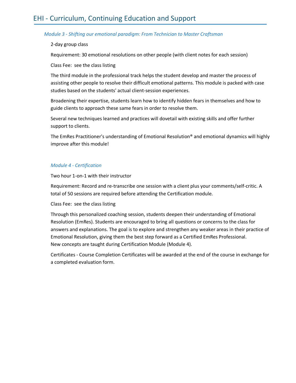#### *Module 3 - Shifting our emotional paradigm: From Technician to Master Craftsman*

#### 2-day group class

Requirement: 30 emotional resolutions on other people (with client notes for each session)

Class Fee: see the class listing

The third module in the professional track helps the student develop and master the process of assisting other people to resolve their difficult emotional patterns. This module is packed with case studies based on the students' actual client-session experiences.

Broadening their expertise, students learn how to identify hidden fears in themselves and how to guide clients to approach these same fears in order to resolve them.

Several new techniques learned and practices will dovetail with existing skills and offer further support to clients.

The EmRes Practitioner's understanding of Emotional Resolution® and emotional dynamics will highly improve after this module!

#### *Module 4 - Certification*

Two hour 1-on-1 with their instructor

Requirement: Record and re-transcribe one session with a client plus your comments/self-critic. A total of 50 sessions are required before attending the Certification module.

Class Fee: see the class listing

Through this personalized coaching session, students deepen their understanding of Emotional Resolution (EmRes). Students are encouraged to bring all questions or concerns to the class for answers and explanations. The goal is to explore and strengthen any weaker areas in their practice of Emotional Resolution, giving them the best step forward as a Certified EmRes Professional. New concepts are taught during Certification Module (Module 4).

Certificates - Course Completion Certificates will be awarded at the end of the course in exchange for a completed evaluation form.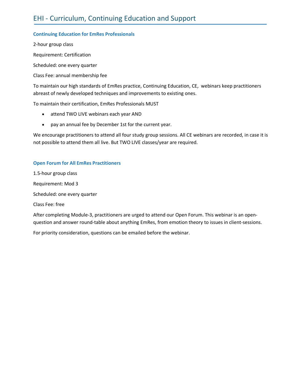#### **Continuing Education for EmRes Professionals**

2-hour group class Requirement: Certification Scheduled: one every quarter Class Fee: annual membership fee

To maintain our high standards of EmRes practice, Continuing Education, CE, webinars keep practitioners abreast of newly developed techniques and improvements to existing ones.

To maintain their certification, EmRes Professionals MUST

- attend TWO LIVE webinars each year AND
- pay an annual fee by December 1st for the current year.

We encourage practitioners to attend all four study group sessions. All CE webinars are recorded, in case it is not possible to attend them all live. But TWO LIVE classes/year are required.

#### **Open Forum for All EmRes Practitioners**

1.5-hour group class

Requirement: Mod 3

Scheduled: one every quarter

Class Fee: free

After completing Module-3, practitioners are urged to attend our Open Forum. This webinar is an openquestion and answer round-table about anything EmRes, from emotion theory to issues in client-sessions.

For priority consideration, questions can be emailed before the webinar.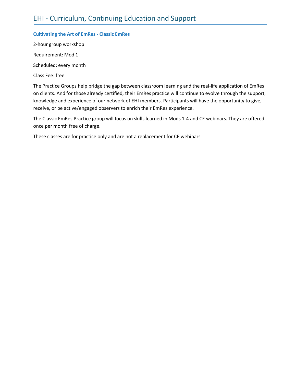#### **Cultivating the Art of EmRes - Classic EmRes**

2-hour group workshop Requirement: Mod 1

Scheduled: every month

Class Fee: free

The Practice Groups help bridge the gap between classroom learning and the real-life application of EmRes on clients. And for those already certified, their EmRes practice will continue to evolve through the support, knowledge and experience of our network of EHI members. Participants will have the opportunity to give, receive, or be active/engaged observers to enrich their EmRes experience.

The Classic EmRes Practice group will focus on skills learned in Mods 1-4 and CE webinars. They are offered once per month free of charge.

These classes are for practice only and are not a replacement for CE webinars.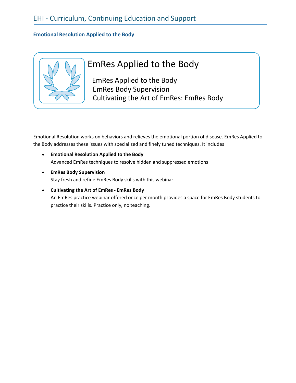#### **Emotional Resolution Applied to the Body**



## EmRes Applied to the Body

EmRes Applied to the Body EmRes Body Supervision Cultivating the Art of EmRes: EmRes Body

Emotional Resolution works on behaviors and relieves the emotional portion of disease. EmRes Applied to the Body addresses these issues with specialized and finely tuned techniques. It includes

- **Emotional Resolution Applied to the Body** Advanced EmRes techniques to resolve hidden and suppressed emotions
- **EmRes Body Supervision** Stay fresh and refine EmRes Body skills with this webinar.
- **Cultivating the Art of EmRes - EmRes Body**  An EmRes practice webinar offered once per month provides a space for EmRes Body students to practice their skills. Practice only, no teaching.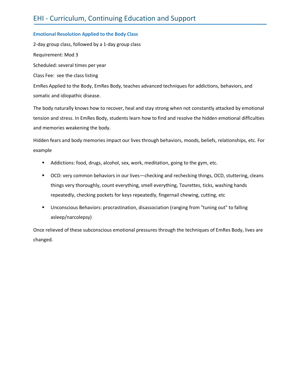#### **Emotional Resolution Applied to the Body Class**

2-day group class, followed by a 1-day group class Requirement: Mod 3 Scheduled: several times per year Class Fee: see the class listing EmRes Applied to the Body, EmRes Body, teaches advanced techniques for addictions, behaviors, and somatic and idiopathic disease.

The body naturally knows how to recover, heal and stay strong when not constantly attacked by emotional tension and stress. In EmRes Body, students learn how to find and resolve the hidden emotional difficulties and memories weakening the body.

Hidden fears and body memories impact our lives through behaviors, moods, beliefs, relationships, etc. For example

- Addictions: food, drugs, alcohol, sex, work, meditation, going to the gym, etc.
- OCD: very common behaviors in our lives—checking and rechecking things, OCD, stuttering, cleans things very thoroughly, count everything, smell everything, Tourettes, ticks, washing hands repeatedly, checking pockets for keys repeatedly, fingernail chewing, cutting, etc
- § Unconscious Behaviors: procrastination, disassociation (ranging from "tuning out" to falling asleep/narcolepsy)

Once relieved of these subconscious emotional pressures through the techniques of EmRes Body, lives are changed.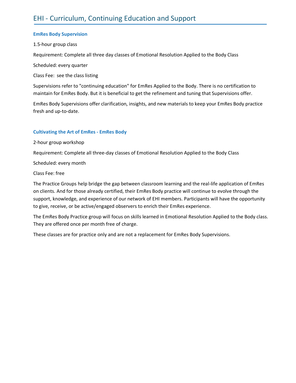#### **EmRes Body Supervision**

1.5-hour group class

Requirement: Complete all three day classes of Emotional Resolution Applied to the Body Class

Scheduled: every quarter

Class Fee: see the class listing

Supervisions refer to "continuing education" for EmRes Applied to the Body. There is no certification to maintain for EmRes Body. But it is beneficial to get the refinement and tuning that Supervisions offer.

EmRes Body Supervisions offer clarification, insights, and new materials to keep your EmRes Body practice fresh and up-to-date.

#### **Cultivating the Art of EmRes - EmRes Body**

2-hour group workshop

Requirement: Complete all three-day classes of Emotional Resolution Applied to the Body Class

Scheduled: every month

Class Fee: free

The Practice Groups help bridge the gap between classroom learning and the real-life application of EmRes on clients. And for those already certified, their EmRes Body practice will continue to evolve through the support, knowledge, and experience of our network of EHI members. Participants will have the opportunity to give, receive, or be active/engaged observers to enrich their EmRes experience.

The EmRes Body Practice group will focus on skills learned in Emotional Resolution Applied to the Body class. They are offered once per month free of charge.

These classes are for practice only and are not a replacement for EmRes Body Supervisions.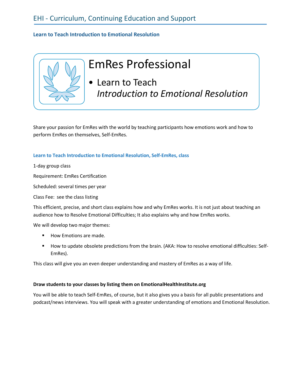#### **Learn to Teach Introduction to Emotional Resolution**



# EmRes Professional

• Learn to Teach *Introduction to Emotional Resolution*

Share your passion for EmRes with the world by teaching participants how emotions work and how to perform EmRes on themselves, Self-EmRes.

#### **Learn to Teach Introduction to Emotional Resolution, Self-EmRes, class**

1-day group class

Requirement: EmRes Certification

Scheduled: several times per year

Class Fee: see the class listing

This efficient, precise, and short class explains how and why EmRes works. It is not just about teaching an audience how to Resolve Emotional Difficulties; It also explains why and how EmRes works.

We will develop two major themes:

- How Emotions are made.
- How to update obsolete predictions from the brain. (AKA: How to resolve emotional difficulties: Self-EmRes).

This class will give you an even deeper understanding and mastery of EmRes as a way of life.

#### **Draw students to your classes by listing them on EmotionalHealthInstitute.org**

You will be able to teach Self-EmRes, of course, but it also gives you a basis for all public presentations and podcast/news interviews. You will speak with a greater understanding of emotions and Emotional Resolution.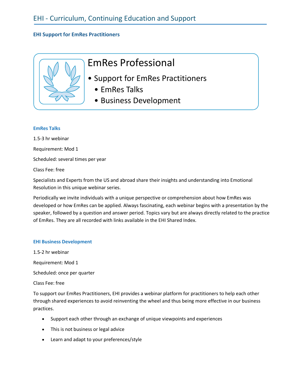#### **EHI Support for EmRes Practitioners**



- Support for EmRes Practitioners
	- EmRes Talks
	- Business Development

#### **EmRes Talks**

1.5-3 hr webinar

Requirement: Mod 1

Scheduled: several times per year

Class Fee: free

Specialists and Experts from the US and abroad share their insights and understanding into Emotional Resolution in this unique webinar series.

Periodically we invite individuals with a unique perspective or comprehension about how EmRes was developed or how EmRes can be applied. Always fascinating, each webinar begins with a presentation by the speaker, followed by a question and answer period. Topics vary but are always directly related to the practice of EmRes. They are all recorded with links available in the EHI Shared Index.

#### **EHI Business Development**

1.5-2 hr webinar

Requirement: Mod 1

Scheduled: once per quarter

Class Fee: free

To support our EmRes Practitioners, EHI provides a webinar platform for practitioners to help each other through shared experiences to avoid reinventing the wheel and thus being more effective in our business practices.

- Support each other through an exchange of unique viewpoints and experiences
- This is not business or legal advice
- Learn and adapt to your preferences/style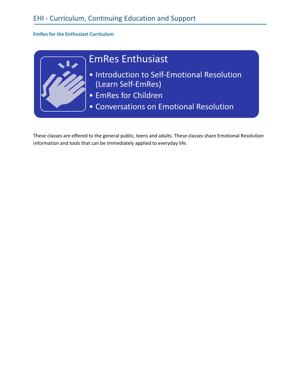**EmRes for the Enthusiast Curriculum**



## EmRes Enthusiast

- Introduction to Self-Emotional Resolution (Learn Self-EmRes)
- EmRes for Children
- Conversations on Emotional Resolution

These classes are offered to the general public, teens and adults. These classes share Emotional Resolution information and tools that can be immediately applied to everyday life.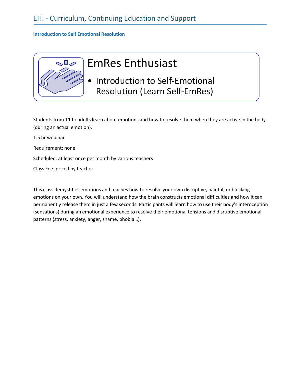#### **Introduction to Self Emotional Resolution**



# EmRes Enthusiast

• Introduction to Self-Emotional Resolution (Learn Self-EmRes)

Students from 11 to adults learn about emotions and how to resolve them when they are active in the body (during an actual emotion).

1.5 hr webinar

Requirement: none

Scheduled: at least once per month by various teachers

Class Fee: priced by teacher

This class demystifies emotions and teaches how to resolve your own disruptive, painful, or blocking emotions on your own. You will understand how the brain constructs emotional difficulties and how it can permanently release them in just a few seconds. Participants will learn how to use their body's interoception (sensations) during an emotional experience to resolve their emotional tensions and disruptive emotional patterns (stress, anxiety, anger, shame, phobia…).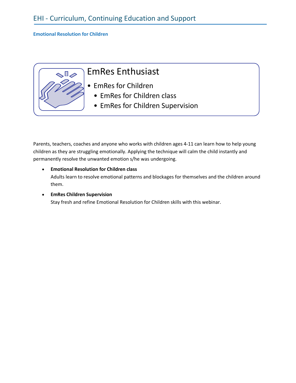#### **Emotional Resolution for Children**

 $\mathbb{Q}^{\mathbb{Z}}$ 

## EmRes Enthusiast

- EmRes for Children
	- EmRes for Children class
	- EmRes for Children Supervision

Parents, teachers, coaches and anyone who works with children ages 4-11 can learn how to help young children as they are struggling emotionally. Applying the technique will calm the child instantly and permanently resolve the unwanted emotion s/he was undergoing.

- **Emotional Resolution for Children class** Adults learn to resolve emotional patterns and blockages for themselves and the children around them.
- **EmRes Children Supervision** Stay fresh and refine Emotional Resolution for Children skills with this webinar.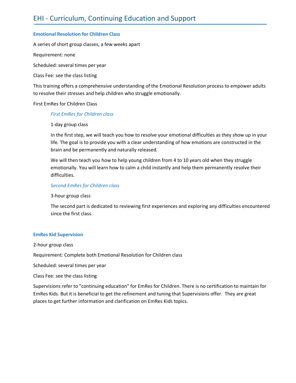#### **Emotional Resolution for Children Class**

A series of short group classes, a few weeks apart

Requirement: none

Scheduled: several times per year

Class Fee: see the class listing

This training offers a comprehensive understanding of the Emotional Resolution process to empower adults to resolve their stresses and help children who struggle emotionally.

First EmRes for Children Class

#### *First EmRes for Children class*

#### 1-day group class

In the first step, we will teach you how to resolve your emotional difficulties as they show up in your life. The goal is to provide you with a clear understanding of how emotions are constructed in the brain and be permanently and naturally released.

We will then teach you how to help young children from 4 to 10 years old when they struggle emotionally. You will learn how to calm a child instantly and help them permanently resolve their difficulties.

#### *Second EmRes for Children class*

3-hour group class

The second part is dedicated to reviewing first experiences and exploring any difficulties encountered since the first class.

#### **EmRes Kid Supervision**

#### 2-hour group class

Requirement: Complete both Emotional Resolution for Children class

Scheduled: several times per year

Class Fee: see the class listing

Supervisions refer to "continuing education" for EmRes for Children. There is no certification to maintain for EmRes Kids. But it is beneficial to get the refinement and tuning that Supervisions offer. They are great places to get further information and clarification on EmRes Kids topics.